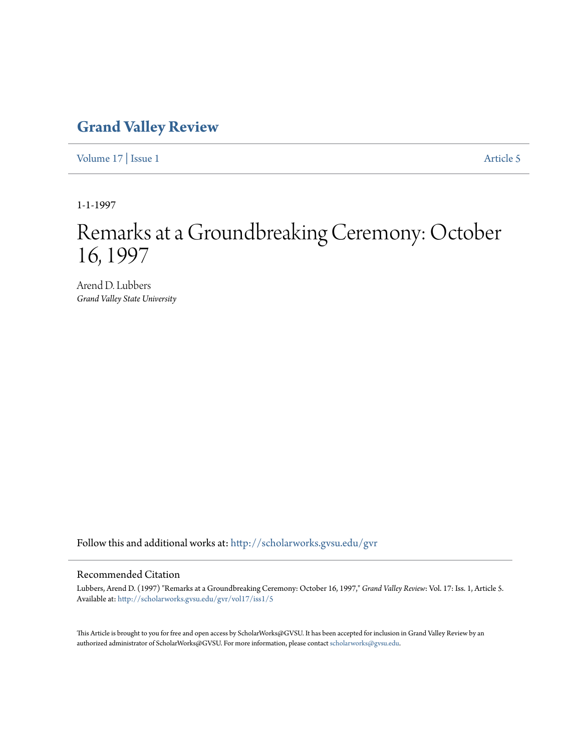## **[Grand Valley Review](http://scholarworks.gvsu.edu/gvr?utm_source=scholarworks.gvsu.edu%2Fgvr%2Fvol17%2Fiss1%2F5&utm_medium=PDF&utm_campaign=PDFCoverPages)**

[Volume 17](http://scholarworks.gvsu.edu/gvr/vol17?utm_source=scholarworks.gvsu.edu%2Fgvr%2Fvol17%2Fiss1%2F5&utm_medium=PDF&utm_campaign=PDFCoverPages) | [Issue 1](http://scholarworks.gvsu.edu/gvr/vol17/iss1?utm_source=scholarworks.gvsu.edu%2Fgvr%2Fvol17%2Fiss1%2F5&utm_medium=PDF&utm_campaign=PDFCoverPages) [Article 5](http://scholarworks.gvsu.edu/gvr/vol17/iss1/5?utm_source=scholarworks.gvsu.edu%2Fgvr%2Fvol17%2Fiss1%2F5&utm_medium=PDF&utm_campaign=PDFCoverPages)

1-1-1997

# Remarks at a Groundbreaking Ceremony: October 16, 1997

Arend D. Lubbers *Grand Valley State University*

Follow this and additional works at: [http://scholarworks.gvsu.edu/gvr](http://scholarworks.gvsu.edu/gvr?utm_source=scholarworks.gvsu.edu%2Fgvr%2Fvol17%2Fiss1%2F5&utm_medium=PDF&utm_campaign=PDFCoverPages)

### Recommended Citation

Lubbers, Arend D. (1997) "Remarks at a Groundbreaking Ceremony: October 16, 1997," *Grand Valley Review*: Vol. 17: Iss. 1, Article 5. Available at: [http://scholarworks.gvsu.edu/gvr/vol17/iss1/5](http://scholarworks.gvsu.edu/gvr/vol17/iss1/5?utm_source=scholarworks.gvsu.edu%2Fgvr%2Fvol17%2Fiss1%2F5&utm_medium=PDF&utm_campaign=PDFCoverPages)

This Article is brought to you for free and open access by ScholarWorks@GVSU. It has been accepted for inclusion in Grand Valley Review by an authorized administrator of ScholarWorks@GVSU. For more information, please contact [scholarworks@gvsu.edu.](mailto:scholarworks@gvsu.edu)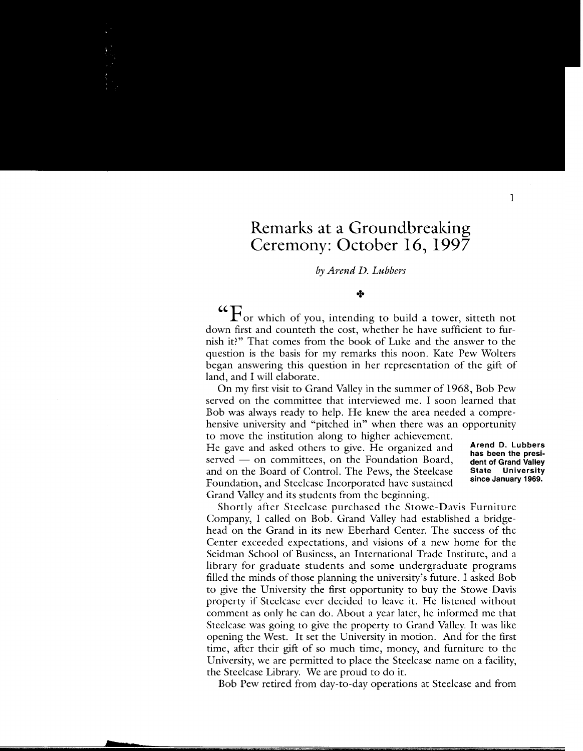### **Remarks at a Groundbreaking Ceremony: October 16, 1997**

#### *by Arend D. Lubbers*

#### $+$

**"CO e F** or which of you, intending to build a tower, sitteth not down first and counteth the cost, whether he have sufficient to furnish it?" That comes from the book of Luke and the answer to the question is the basis for my remarks this noon. Kate Pew Wolters began answering this question in her representation of the gift of land, and I will elaborate.

On my first visit to Grand Valley in the summer of 1968, Bob Pew served on the committee that interviewed me. I soon learned that Bob was always ready to help. He knew the area needed a comprehensive university and "pitched in" when there was an opportunity to move the institution along to higher achievement.

He gave and asked others to give. He organized and served  $-$  on committees, on the Foundation Board, and on the Board of Control. The Pews, the Steelcase Foundation, and Steelcase Incorporated have sustained Grand Valley and its students from the beginning.

**Arend D. Lubbers has been the president of Grand Valley State University since January 1969.** 

Shortly after Steelcase purchased the Stowe-Davis Furniture Company, I called on Bob. Grand Valley had established a bridgehead on the Grand in its new Eberhard Center. The success of the Center exceeded expectations, and visions of a new home for the Seidman School of Business, an International Trade Institute, and a library for graduate students and some undergraduate programs filled the minds of those planning the university's future. I asked Bob to give the University the first opportunity to buy the Stowe-Davis property if Steelcase ever decided to leave it. He listened without comment as only he can do. About a year later, he informed me that Steelcase was going to give the property to Grand Valley. It was like opening the West. It set the University in motion. And for the first time, after their gift of so much time, money, and furniture to the University, we are permitted to place the Steelcase name on a facility, the Steelcase Library. We are proud to do it.

Bob Pew retired from day-to-day operations at Steelcase and from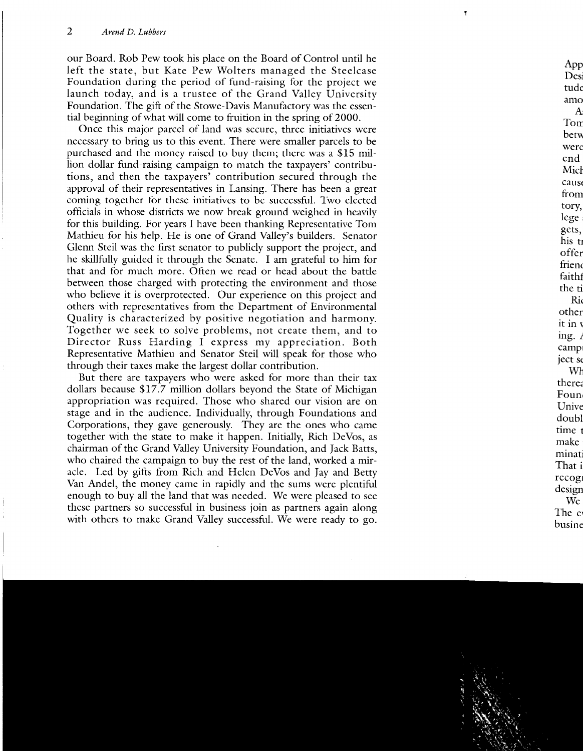our Board. Rob Pew took his place on the Board of Control until he left the state, but Kate Pew Wolters managed the Steelcase Foundation during the period of fund-raising for the project we launch today, and is a trustee of the Grand Valley University Foundation. The gift of the Stowe-Davis Manufactory was the essential beginning of what will come to fruition in the spring of 2000.

Once this major parcel of land was secure, three initiatives were necessary to bring us to this event. There were smaller parcels to be purchased and the money raised to buy them; there was a \$15 million dollar fund-raising campaign to match the taxpayers' contributions, and then the taxpayers' contribution secured through the approval of their representatives in Lansing. There has been a great coming together for these initiatives to be successful. Two elected officials in whose districts we now break ground weighed in heavily for this building. For years I have been thanking Representative Tom Mathieu for his help. He is one of Grand Valley's builders. Senator Glenn Steil was the first senator to publicly support the project, and he skillfully guided it through the Senate. I am grateful to him for that and for much more. Often we read or head about the battle between those charged with protecting the environment and those who believe it is overprotected. Our experience on this project and others with representatives from the Department of Environmental Quality is characterized by positive negotiation and harmony. Together we seek to solve problems, not create them, and to Director Russ Harding I express my appreciation. Both Representative Mathieu and Senator Steil will speak for those who through their taxes make the largest dollar contribution.

But there are taxpayers who were asked for more than their tax dollars because \$17.7 million dollars beyond the State of Michigan appropriation was required. Those who shared our vision are on stage and in the audience. Individually, through Foundations and Corporations, they gave generously. They are the ones who came together with the state to make it happen. Initially, Rich DeVos, as chairman of the Grand Valley University Foundation, and Jack Batts, who chaired the campaign to buy the rest of the land, worked a miracle. Led by gifts from Rich and Helen DeVos and Jay and Betty Van Andel, the money came in rapidly and the sums were plentiful enough to buy all the land that was needed. We were pleased to see these partners so successful in business join as partners again along with others to make Grand Valley successful. We were ready to go.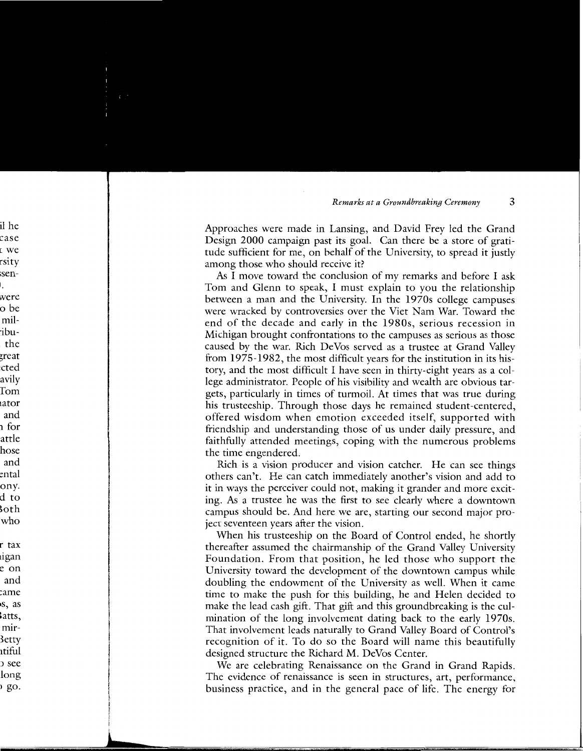Approaches were made in Lansing, and David Frey led the Grand Design 2000 campaign past its goal. Can there be a store of gratitude sufficient for me, on behalf of the University, to spread it justly among those who should receive it?

As I move toward the conclusion of my remarks and before I ask Tom and Glenn to speak, I must explain to you the relationship between a man and the University. In the 1970s college campuses were wracked by controversies over the Viet Nam War. Toward the end of the decade and early in the 1980s, serious recession in Michigan brought confrontations to the campuses as serious as those caused by the war. Rich DeVos served as a trustee at Grand Valley from 1975-1982, the most difficult years for the institution in its history, and the most difficult I have seen in thirty-eight years as a college administrator. People of his visibility and wealth are obvious targets, particularly in times of turmoil. At times that was true during his trusteeship. Through those days he remained student-centered, offered wisdom when emotion exceeded itself, supported with friendship and understanding those of us under daily pressure, and faithfully attended meetings, coping with the numerous problems the time engendered.

Rich is a vision producer and vision catcher. He can see things others can't. He can catch immediately another's vision and add to it in ways the perceiver could not, making it grander and more exciting. As a trustee he was the first to see clearly where a downtown campus should be. And here we are, starting our second major project seventeen years after the vision.

When his trusteeship on the Board of Control ended, he shortly thereafter assumed the chairmanship of the Grand Valley University Foundation. From that position, he led those who support the University toward the development of the downtown campus while doubling the endowment of the University as well. When it came time to make the push for this building, he and Helen decided to make the lead cash gift. That gift and this groundbreaking is the culmination of the long involvement dating back to the early 1970s. That involvement leads naturally to Grand Valley Board of Control's recognition of it. To do so the Board will name this beautifully designed structure the Richard M. DeVos Center.

We are celebrating Renaissance on the Grand in Grand Rapids. The evidence of renaissance is seen in structures, art, performance, business practice, and in the general pace of life. The energy for